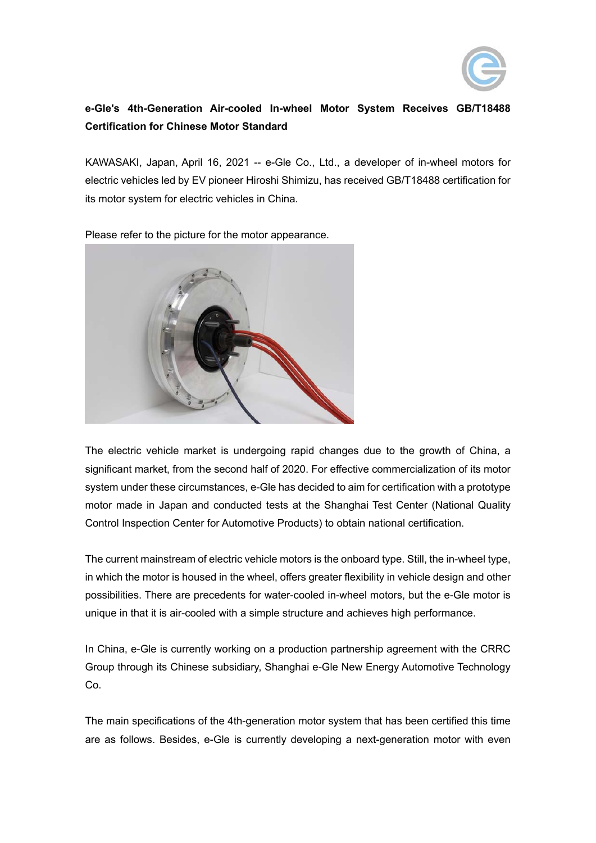

## **e-Gle's 4th-Generation Air-cooled In-wheel Motor System Receives GB/T18488 Certification for Chinese Motor Standard**

KAWASAKI, Japan, April 16, 2021 -- e-Gle Co., Ltd., a developer of in-wheel motors for electric vehicles led by EV pioneer Hiroshi Shimizu, has received GB/T18488 certification for its motor system for electric vehicles in China.



Please refer to the picture for the motor appearance.

The electric vehicle market is undergoing rapid changes due to the growth of China, a significant market, from the second half of 2020. For effective commercialization of its motor system under these circumstances, e-Gle has decided to aim for certification with a prototype motor made in Japan and conducted tests at the Shanghai Test Center (National Quality Control Inspection Center for Automotive Products) to obtain national certification.

The current mainstream of electric vehicle motors is the onboard type. Still, the in-wheel type, in which the motor is housed in the wheel, offers greater flexibility in vehicle design and other possibilities. There are precedents for water-cooled in-wheel motors, but the e-Gle motor is unique in that it is air-cooled with a simple structure and achieves high performance.

In China, e-Gle is currently working on a production partnership agreement with the CRRC Group through its Chinese subsidiary, Shanghai e-Gle New Energy Automotive Technology Co.

The main specifications of the 4th-generation motor system that has been certified this time are as follows. Besides, e-Gle is currently developing a next-generation motor with even